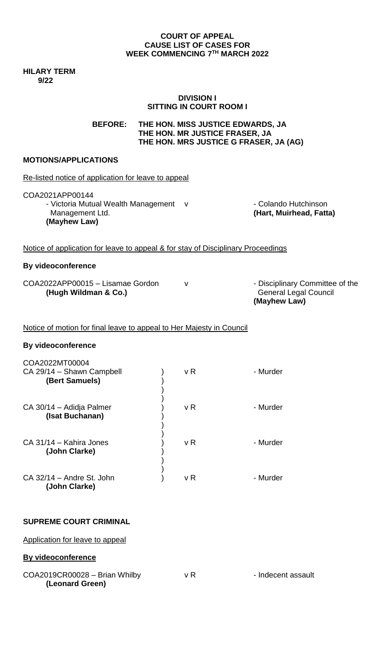### **COURT OF APPEAL CAUSE LIST OF CASES FOR WEEK COMMENCING 7 TH MARCH 2022**

**HILARY TERM 9/22**

### **DIVISION I SITTING IN COURT ROOM I**

**BEFORE: THE HON. MISS JUSTICE EDWARDS, JA THE HON. MR JUSTICE FRASER, JA THE HON. MRS JUSTICE G FRASER, JA (AG)**

# **MOTIONS/APPLICATIONS**

| Re-listed notice of application for leave to appeal                                               |  |                |                                                                                 |  |
|---------------------------------------------------------------------------------------------------|--|----------------|---------------------------------------------------------------------------------|--|
| COA2021APP00144<br>- Victoria Mutual Wealth Management<br>Management Ltd.<br>(Mayhew Law)         |  | $\mathsf{V}$   | - Colando Hutchinson<br>(Hart, Muirhead, Fatta)                                 |  |
| Notice of application for leave to appeal & for stay of Disciplinary Proceedings                  |  |                |                                                                                 |  |
| <b>By videoconference</b>                                                                         |  |                |                                                                                 |  |
| COA2022APP00015 - Lisamae Gordon<br>(Hugh Wildman & Co.)                                          |  | v              | - Disciplinary Committee of the<br><b>General Legal Council</b><br>(Mayhew Law) |  |
| Notice of motion for final leave to appeal to Her Majesty in Council<br><b>By videoconference</b> |  |                |                                                                                 |  |
|                                                                                                   |  |                |                                                                                 |  |
| COA2022MT00004<br>CA 29/14 - Shawn Campbell<br>(Bert Samuels)                                     |  | v R            | - Murder                                                                        |  |
| CA 30/14 - Adidja Palmer<br>(Isat Buchanan)                                                       |  | v <sub>R</sub> | - Murder                                                                        |  |
| CA 31/14 - Kahira Jones<br>(John Clarke)                                                          |  | vR             | - Murder                                                                        |  |
| CA 32/14 - Andre St. John<br>(John Clarke)                                                        |  | v R            | - Murder                                                                        |  |

# **SUPREME COURT CRIMINAL**

Application for leave to appeal

# **By videoconference**

 $COA2019CR00028 - Brian Whitney V R - Independent assault$ **(Leonard Green)**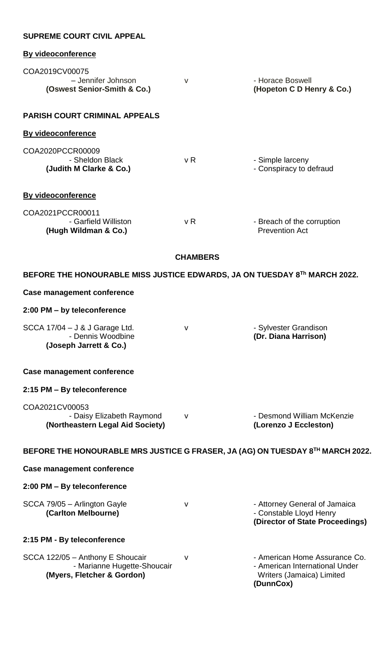| <b>SUPREME COURT CIVIL APPEAL</b>                                                             |        |                                                                                                           |  |  |
|-----------------------------------------------------------------------------------------------|--------|-----------------------------------------------------------------------------------------------------------|--|--|
| <b>By videoconference</b>                                                                     |        |                                                                                                           |  |  |
| COA2019CV00075<br>- Jennifer Johnson                                                          | V      | - Horace Boswell                                                                                          |  |  |
| (Oswest Senior-Smith & Co.)                                                                   |        | (Hopeton C D Henry & Co.)                                                                                 |  |  |
| <b>PARISH COURT CRIMINAL APPEALS</b>                                                          |        |                                                                                                           |  |  |
| <b>By videoconference</b>                                                                     |        |                                                                                                           |  |  |
| COA2020PCCR00009<br>- Sheldon Black<br>(Judith M Clarke & Co.)                                | v R    | - Simple larceny<br>- Conspiracy to defraud                                                               |  |  |
| By videoconference                                                                            |        |                                                                                                           |  |  |
| COA2021PCCR00011<br>- Garfield Williston<br>(Hugh Wildman & Co.)                              | v R    | - Breach of the corruption<br><b>Prevention Act</b>                                                       |  |  |
| <b>CHAMBERS</b>                                                                               |        |                                                                                                           |  |  |
| BEFORE THE HONOURABLE MISS JUSTICE EDWARDS, JA ON TUESDAY 8Th MARCH 2022.                     |        |                                                                                                           |  |  |
| <b>Case management conference</b>                                                             |        |                                                                                                           |  |  |
| 2:00 PM - by teleconference                                                                   |        |                                                                                                           |  |  |
| SCCA 17/04 - J & J Garage Ltd.<br>- Dennis Woodbine<br>(Joseph Jarrett & Co.)                 | v      | - Sylvester Grandison<br>(Dr. Diana Harrison)                                                             |  |  |
| Case management conference                                                                    |        |                                                                                                           |  |  |
| 2:15 PM - By teleconference                                                                   |        |                                                                                                           |  |  |
| COA2021CV00053<br>- Daisy Elizabeth Raymond<br>(Northeastern Legal Aid Society)               | $\vee$ | - Desmond William McKenzie<br>(Lorenzo J Eccleston)                                                       |  |  |
| BEFORE THE HONOURABLE MRS JUSTICE G FRASER, JA (AG) ON TUESDAY 8TH MARCH 2022.                |        |                                                                                                           |  |  |
| Case management conference                                                                    |        |                                                                                                           |  |  |
| 2:00 PM - By teleconference                                                                   |        |                                                                                                           |  |  |
| SCCA 79/05 - Arlington Gayle<br>(Carlton Melbourne)                                           | v      | - Attorney General of Jamaica<br>- Constable Lloyd Henry<br>(Director of State Proceedings)               |  |  |
| 2:15 PM - By teleconference                                                                   |        |                                                                                                           |  |  |
| SCCA 122/05 - Anthony E Shoucair<br>- Marianne Hugette-Shoucair<br>(Myers, Fletcher & Gordon) | v      | - American Home Assurance Co.<br>- American International Under<br>Writers (Jamaica) Limited<br>(DunnCox) |  |  |